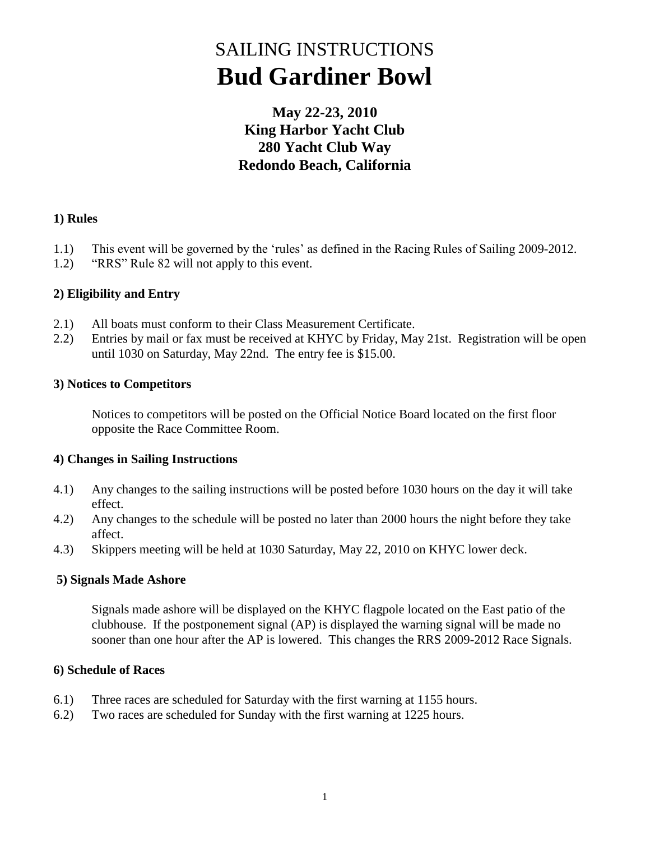# SAILING INSTRUCTIONS **Bud Gardiner Bowl**

### **May 22-23, 2010 King Harbor Yacht Club 280 Yacht Club Way Redondo Beach, California**

#### **1) Rules**

- 1.1) This event will be governed by the "rules" as defined in the Racing Rules of Sailing 2009-2012.
- 1.2) "RRS" Rule 82 will not apply to this event.

#### **2) Eligibility and Entry**

- 2.1) All boats must conform to their Class Measurement Certificate.
- 2.2) Entries by mail or fax must be received at KHYC by Friday, May 21st. Registration will be open until 1030 on Saturday, May 22nd. The entry fee is \$15.00.

#### **3) Notices to Competitors**

Notices to competitors will be posted on the Official Notice Board located on the first floor opposite the Race Committee Room.

#### **4) Changes in Sailing Instructions**

- 4.1) Any changes to the sailing instructions will be posted before 1030 hours on the day it will take effect.
- 4.2) Any changes to the schedule will be posted no later than 2000 hours the night before they take affect.
- 4.3) Skippers meeting will be held at 1030 Saturday, May 22, 2010 on KHYC lower deck.

#### **5) Signals Made Ashore**

Signals made ashore will be displayed on the KHYC flagpole located on the East patio of the clubhouse. If the postponement signal (AP) is displayed the warning signal will be made no sooner than one hour after the AP is lowered. This changes the RRS 2009-2012 Race Signals.

#### **6) Schedule of Races**

- 6.1) Three races are scheduled for Saturday with the first warning at 1155 hours.
- 6.2) Two races are scheduled for Sunday with the first warning at 1225 hours.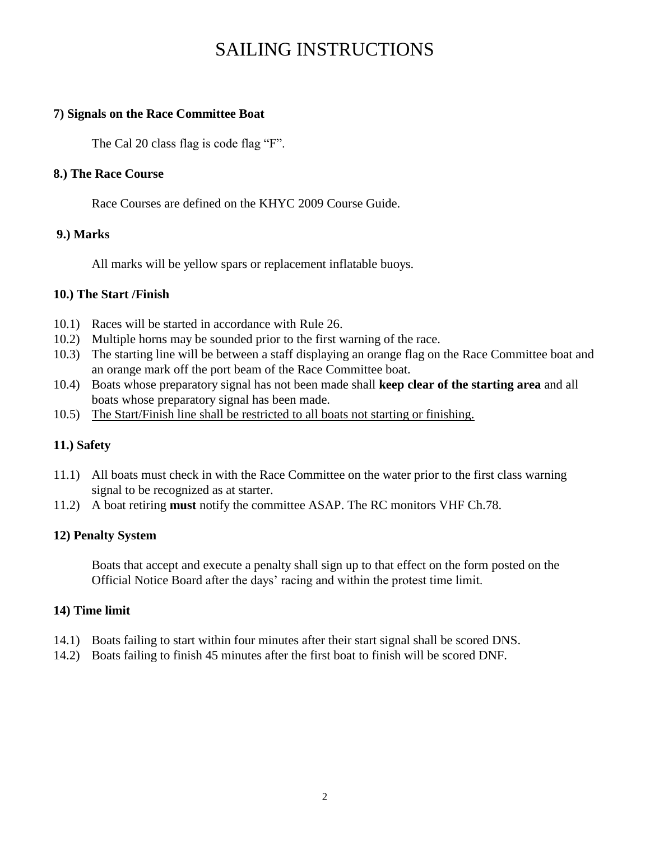## SAILING INSTRUCTIONS

#### **7) Signals on the Race Committee Boat**

The Cal 20 class flag is code flag "F".

#### **8.) The Race Course**

Race Courses are defined on the KHYC 2009 Course Guide.

#### **9.) Marks**

All marks will be yellow spars or replacement inflatable buoys.

#### **10.) The Start /Finish**

- 10.1) Races will be started in accordance with Rule 26.
- 10.2) Multiple horns may be sounded prior to the first warning of the race.
- 10.3) The starting line will be between a staff displaying an orange flag on the Race Committee boat and an orange mark off the port beam of the Race Committee boat.
- 10.4) Boats whose preparatory signal has not been made shall **keep clear of the starting area** and all boats whose preparatory signal has been made.
- 10.5) The Start/Finish line shall be restricted to all boats not starting or finishing.

#### **11.) Safety**

- 11.1) All boats must check in with the Race Committee on the water prior to the first class warning signal to be recognized as at starter.
- 11.2) A boat retiring **must** notify the committee ASAP. The RC monitors VHF Ch.78.

#### **12) Penalty System**

Boats that accept and execute a penalty shall sign up to that effect on the form posted on the Official Notice Board after the days" racing and within the protest time limit.

#### **14) Time limit**

- 14.1) Boats failing to start within four minutes after their start signal shall be scored DNS.
- 14.2) Boats failing to finish 45 minutes after the first boat to finish will be scored DNF.